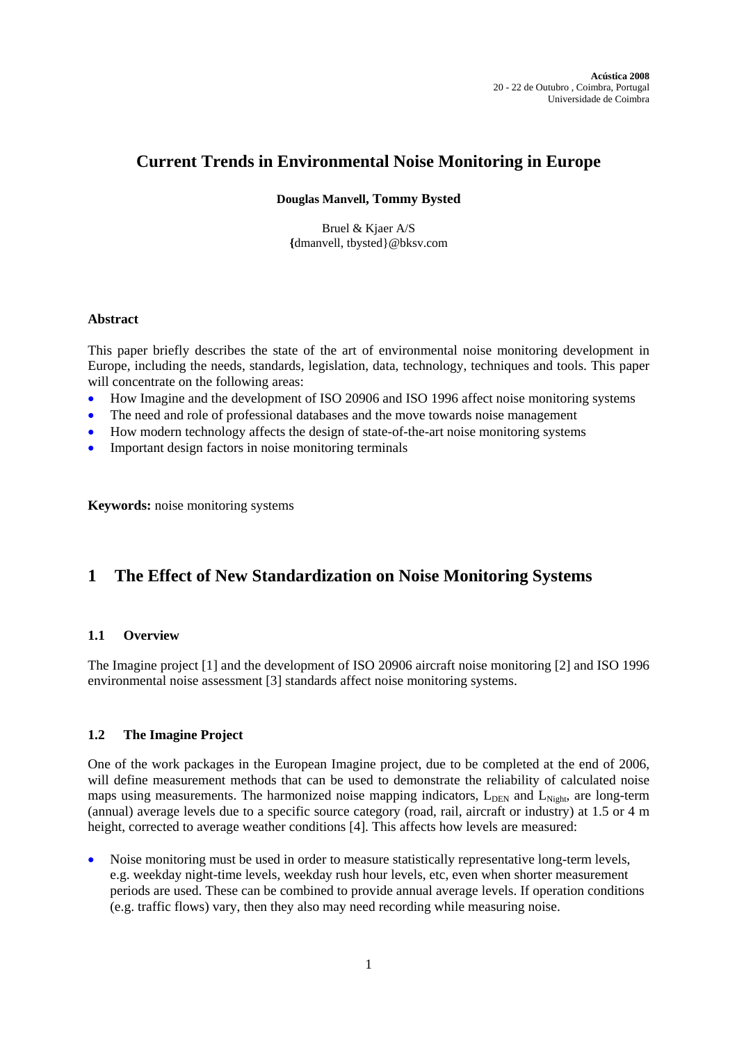# **Current Trends in Environmental Noise Monitoring in Europe**

## **Douglas Manvell, Tommy Bysted**

Bruel & Kjaer A/S **{**[dmanvell, tbysted}@bksv.com](mailto:dmanvell, eaflalo%7d@bksv.com)

## **Abstract**

This paper briefly describes the state of the art of environmental noise monitoring development in Europe, including the needs, standards, legislation, data, technology, techniques and tools. This paper will concentrate on the following areas:

- How Imagine and the development of ISO 20906 and ISO 1996 affect noise monitoring systems
- The need and role of professional databases and the move towards noise management
- How modern technology affects the design of state-of-the-art noise monitoring systems
- Important design factors in noise monitoring terminals

**Keywords:** noise monitoring systems

# **1 The Effect of New Standardization on Noise Monitoring Systems**

## **1.1 Overview**

The Imagine project [1] and the development of ISO 20906 aircraft noise monitoring [2] and ISO 1996 environmental noise assessment [3] standards affect noise monitoring systems.

## **1.2 The Imagine Project**

One of the work packages in the European Imagine project, due to be completed at the end of 2006, will define measurement methods that can be used to demonstrate the reliability of calculated noise maps using measurements. The harmonized noise mapping indicators,  $L_{\text{DER}}$  and  $L_{\text{Ni}ph}$ , are long-term (annual) average levels due to a specific source category (road, rail, aircraft or industry) at 1.5 or 4 m height, corrected to average weather conditions [4]. This affects how levels are measured:

• Noise monitoring must be used in order to measure statistically representative long-term levels, e.g. weekday night-time levels, weekday rush hour levels, etc, even when shorter measurement periods are used. These can be combined to provide annual average levels. If operation conditions (e.g. traffic flows) vary, then they also may need recording while measuring noise.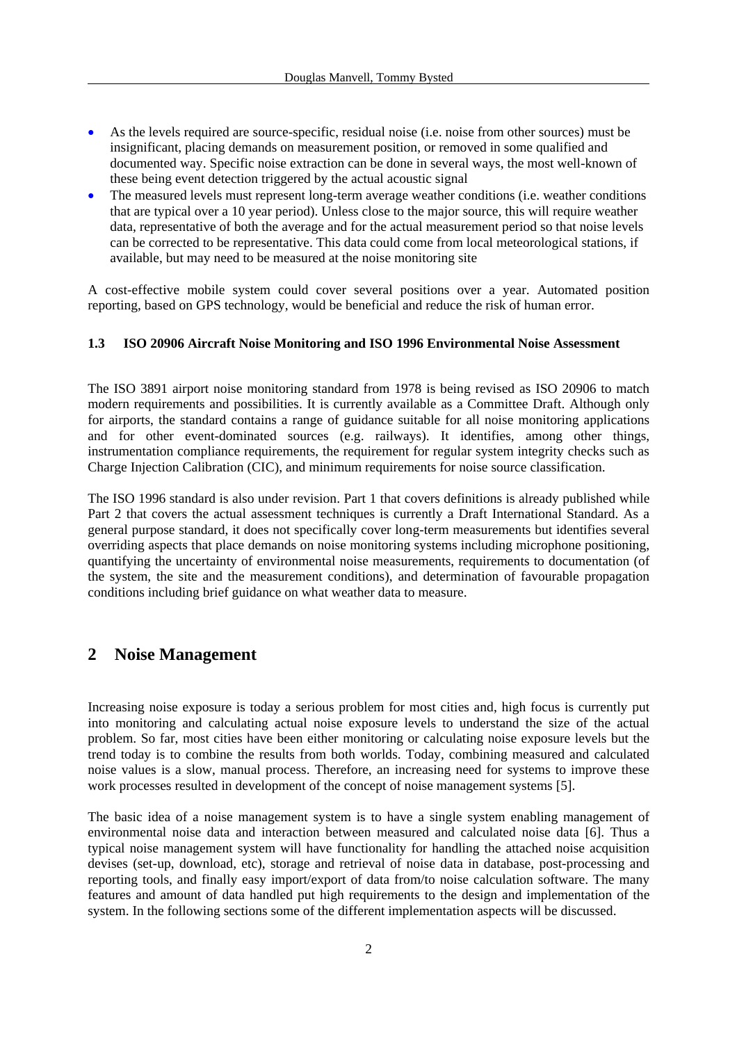- As the levels required are source-specific, residual noise (i.e. noise from other sources) must be insignificant, placing demands on measurement position, or removed in some qualified and documented way. Specific noise extraction can be done in several ways, the most well-known of these being event detection triggered by the actual acoustic signal
- The measured levels must represent long-term average weather conditions (i.e. weather conditions that are typical over a 10 year period). Unless close to the major source, this will require weather data, representative of both the average and for the actual measurement period so that noise levels can be corrected to be representative. This data could come from local meteorological stations, if available, but may need to be measured at the noise monitoring site

A cost-effective mobile system could cover several positions over a year. Automated position reporting, based on GPS technology, would be beneficial and reduce the risk of human error.

## **1.3 ISO 20906 Aircraft Noise Monitoring and ISO 1996 Environmental Noise Assessment**

The ISO 3891 airport noise monitoring standard from 1978 is being revised as ISO 20906 to match modern requirements and possibilities. It is currently available as a Committee Draft. Although only for airports, the standard contains a range of guidance suitable for all noise monitoring applications and for other event-dominated sources (e.g. railways). It identifies, among other things, instrumentation compliance requirements, the requirement for regular system integrity checks such as Charge Injection Calibration (CIC), and minimum requirements for noise source classification.

The ISO 1996 standard is also under revision. Part 1 that covers definitions is already published while Part 2 that covers the actual assessment techniques is currently a Draft International Standard. As a general purpose standard, it does not specifically cover long-term measurements but identifies several overriding aspects that place demands on noise monitoring systems including microphone positioning, quantifying the uncertainty of environmental noise measurements, requirements to documentation (of the system, the site and the measurement conditions), and determination of favourable propagation conditions including brief guidance on what weather data to measure.

## **2 Noise Management**

Increasing noise exposure is today a serious problem for most cities and, high focus is currently put into monitoring and calculating actual noise exposure levels to understand the size of the actual problem. So far, most cities have been either monitoring or calculating noise exposure levels but the trend today is to combine the results from both worlds. Today, combining measured and calculated noise values is a slow, manual process. Therefore, an increasing need for systems to improve these work processes resulted in development of the concept of noise management systems [5].

The basic idea of a noise management system is to have a single system enabling management of environmental noise data and interaction between measured and calculated noise data [6]. Thus a typical noise management system will have functionality for handling the attached noise acquisition devises (set-up, download, etc), storage and retrieval of noise data in database, post-processing and reporting tools, and finally easy import/export of data from/to noise calculation software. The many features and amount of data handled put high requirements to the design and implementation of the system. In the following sections some of the different implementation aspects will be discussed.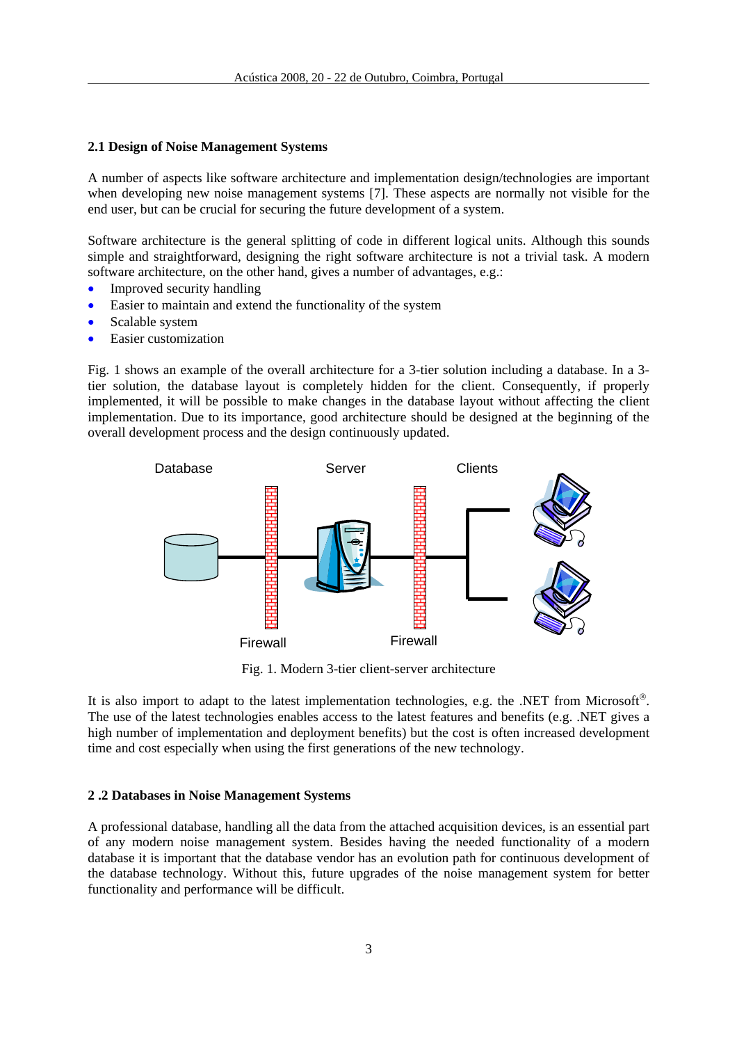### **2.1 Design of Noise Management Systems**

A number of aspects like software architecture and implementation design/technologies are important when developing new noise management systems [7]. These aspects are normally not visible for the end user, but can be crucial for securing the future development of a system.

Software architecture is the general splitting of code in different logical units. Although this sounds simple and straightforward, designing the right software architecture is not a trivial task. A modern software architecture, on the other hand, gives a number of advantages, e.g.:

- Improved security handling
- Easier to maintain and extend the functionality of the system
- Scalable system
- Easier customization

Fig. 1 shows an example of the overall architecture for a 3-tier solution including a database. In a 3 tier solution, the database layout is completely hidden for the client. Consequently, if properly implemented, it will be possible to make changes in the database layout without affecting the client implementation. Due to its importance, good architecture should be designed at the beginning of the overall development process and the design continuously updated.



Fig. 1. Modern 3-tier client-server architecture

It is also import to adapt to the latest implementation technologies, e.g. the .NET from Microsoft®. The use of the latest technologies enables access to the latest features and benefits (e.g. .NET gives a high number of implementation and deployment benefits) but the cost is often increased development time and cost especially when using the first generations of the new technology.

#### **2 .2 Databases in Noise Management Systems**

A professional database, handling all the data from the attached acquisition devices, is an essential part of any modern noise management system. Besides having the needed functionality of a modern database it is important that the database vendor has an evolution path for continuous development of the database technology. Without this, future upgrades of the noise management system for better functionality and performance will be difficult.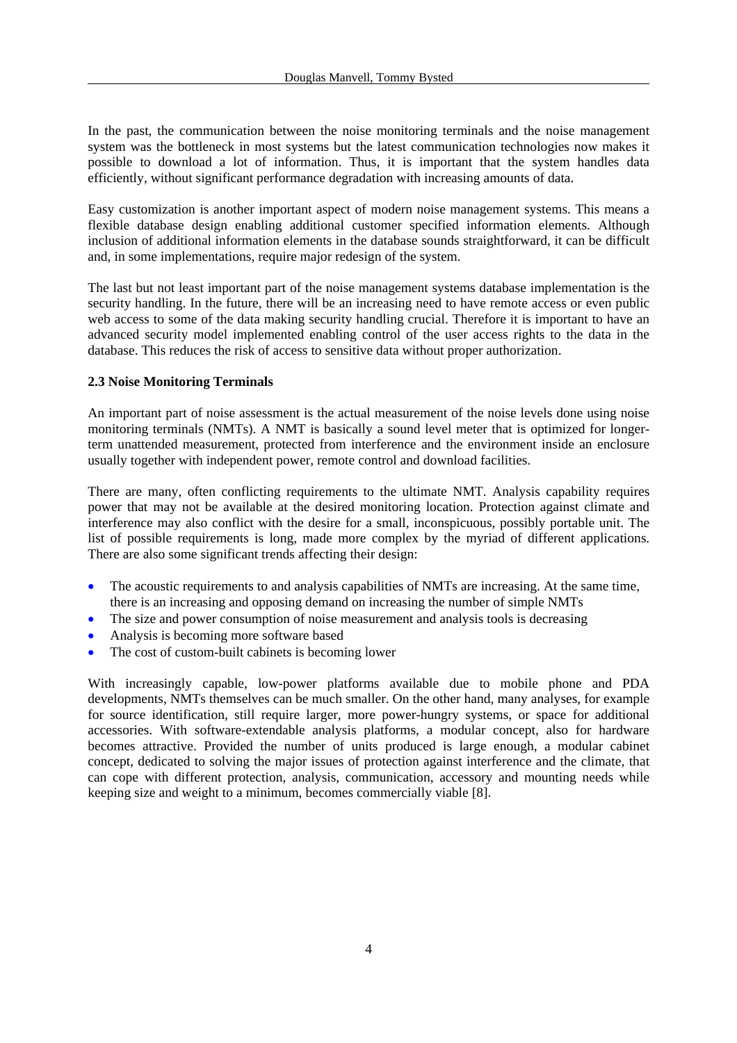In the past, the communication between the noise monitoring terminals and the noise management system was the bottleneck in most systems but the latest communication technologies now makes it possible to download a lot of information. Thus, it is important that the system handles data efficiently, without significant performance degradation with increasing amounts of data.

Easy customization is another important aspect of modern noise management systems. This means a flexible database design enabling additional customer specified information elements. Although inclusion of additional information elements in the database sounds straightforward, it can be difficult and, in some implementations, require major redesign of the system.

The last but not least important part of the noise management systems database implementation is the security handling. In the future, there will be an increasing need to have remote access or even public web access to some of the data making security handling crucial. Therefore it is important to have an advanced security model implemented enabling control of the user access rights to the data in the database. This reduces the risk of access to sensitive data without proper authorization.

### **2.3 Noise Monitoring Terminals**

An important part of noise assessment is the actual measurement of the noise levels done using noise monitoring terminals (NMTs). A NMT is basically a sound level meter that is optimized for longerterm unattended measurement, protected from interference and the environment inside an enclosure usually together with independent power, remote control and download facilities.

There are many, often conflicting requirements to the ultimate NMT. Analysis capability requires power that may not be available at the desired monitoring location. Protection against climate and interference may also conflict with the desire for a small, inconspicuous, possibly portable unit. The list of possible requirements is long, made more complex by the myriad of different applications. There are also some significant trends affecting their design:

- The acoustic requirements to and analysis capabilities of NMTs are increasing. At the same time, there is an increasing and opposing demand on increasing the number of simple NMTs
- The size and power consumption of noise measurement and analysis tools is decreasing
- Analysis is becoming more software based
- The cost of custom-built cabinets is becoming lower

With increasingly capable, low-power platforms available due to mobile phone and PDA developments, NMTs themselves can be much smaller. On the other hand, many analyses, for example for source identification, still require larger, more power-hungry systems, or space for additional accessories. With software-extendable analysis platforms, a modular concept, also for hardware becomes attractive. Provided the number of units produced is large enough, a modular cabinet concept, dedicated to solving the major issues of protection against interference and the climate, that can cope with different protection, analysis, communication, accessory and mounting needs while keeping size and weight to a minimum, becomes commercially viable [8].